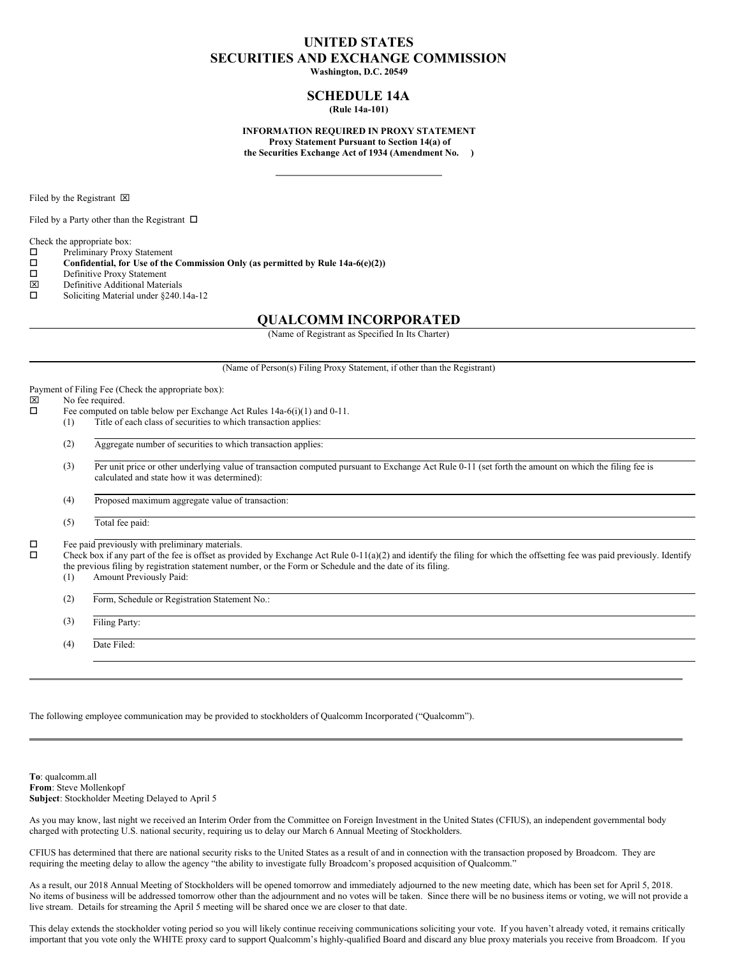# **UNITED STATES SECURITIES AND EXCHANGE COMMISSION**

**Washington, D.C. 20549**

# **SCHEDULE 14A (Rule 14a-101)**

**INFORMATION REQUIRED IN PROXY STATEMENT Proxy Statement Pursuant to Section 14(a) of the Securities Exchange Act of 1934 (Amendment No. )**

Filed by the Registrant  $\boxtimes$ 

Filed by a Party other than the Registrant  $\Box$ 

Check the appropriate box:

- $\square$  Preliminary Proxy Statement<br> $\square$  Confidential, for Use of the
- o **Confidential, for Use of the Commission Only (as permitted by Rule 14a-6(e)(2))**
- $\square$  Definitive Proxy Statement<br> $\square$  Definitive Additional Mate
- Definitive Additional Materials
- $\Box$  Soliciting Material under §240.14a-12

# **QUALCOMM INCORPORATED**

(Name of Registrant as Specified In Its Charter)

(Name of Person(s) Filing Proxy Statement, if other than the Registrant)

Payment of Filing Fee (Check the appropriate box):<br> $|\overline{x}|$  No fee required

# $\boxtimes$  No fee required.<br>  $\Box$  Fee computed on

- Fee computed on table below per Exchange Act Rules 14a-6(i)(1) and 0-11.
- (1) Title of each class of securities to which transaction applies:
- (2) Aggregate number of securities to which transaction applies:
- (3) Per unit price or other underlying value of transaction computed pursuant to Exchange Act Rule 0-11 (set forth the amount on which the filing fee is calculated and state how it was determined):

(4) Proposed maximum aggregate value of transaction:

(5) Total fee paid:

 $\square$  Fee paid previously with preliminary materials.<br> $\square$  Check hox if any part of the fee is offset as prov

Check box if any part of the fee is offset as provided by Exchange Act Rule 0-11(a)(2) and identify the filing for which the offsetting fee was paid previously. Identify the previous filing by registration statement number, or the Form or Schedule and the date of its filing.

(1) Amount Previously Paid:

(2) Form, Schedule or Registration Statement No.:

(3) Filing Party:

(4) Date Filed:

The following employee communication may be provided to stockholders of Qualcomm Incorporated ("Qualcomm").

**To**: qualcomm.all **From**: Steve Mollenkopf **Subject**: Stockholder Meeting Delayed to April 5

As you may know, last night we received an Interim Order from the Committee on Foreign Investment in the United States (CFIUS), an independent governmental body charged with protecting U.S. national security, requiring us to delay our March 6 Annual Meeting of Stockholders.

CFIUS has determined that there are national security risks to the United States as a result of and in connection with the transaction proposed by Broadcom. They are requiring the meeting delay to allow the agency "the ability to investigate fully Broadcom's proposed acquisition of Qualcomm."

As a result, our 2018 Annual Meeting of Stockholders will be opened tomorrow and immediately adjourned to the new meeting date, which has been set for April 5, 2018. No items of business will be addressed tomorrow other than the adjournment and no votes will be taken. Since there will be no business items or voting, we will not provide a live stream. Details for streaming the April 5 meeting will be shared once we are closer to that date.

This delay extends the stockholder voting period so you will likely continue receiving communications soliciting your vote. If you haven't already voted, it remains critically important that you vote only the WHITE proxy card to support Qualcomm's highly-qualified Board and discard any blue proxy materials you receive from Broadcom. If you